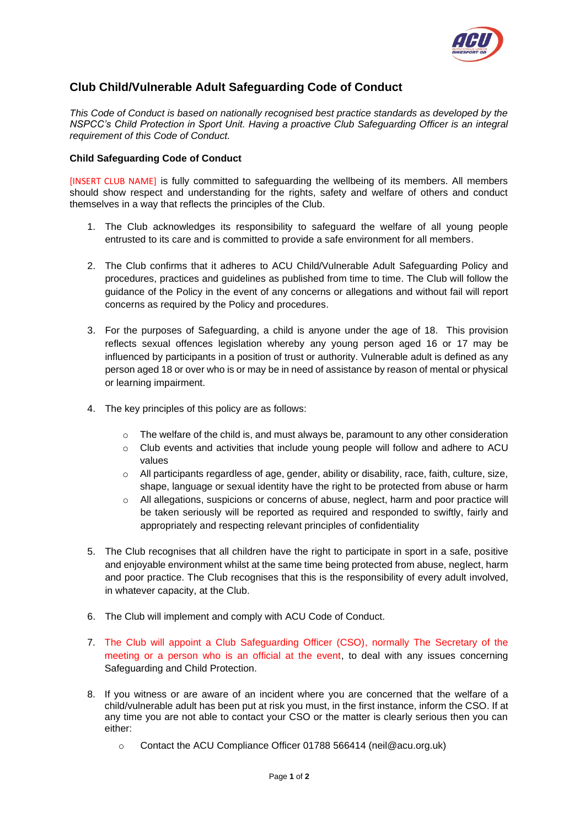

## **Club Child/Vulnerable Adult Safeguarding Code of Conduct**

*This Code of Conduct is based on nationally recognised best practice standards as developed by the NSPCC's Child Protection in Sport Unit. Having a proactive Club Safeguarding Officer is an integral requirement of this Code of Conduct.*

## **Child Safeguarding Code of Conduct**

[INSERT CLUB NAME] is fully committed to safeguarding the wellbeing of its members. All members should show respect and understanding for the rights, safety and welfare of others and conduct themselves in a way that reflects the principles of the Club.

- 1. The Club acknowledges its responsibility to safeguard the welfare of all young people entrusted to its care and is committed to provide a safe environment for all members.
- 2. The Club confirms that it adheres to ACU Child/Vulnerable Adult Safeguarding Policy and procedures, practices and guidelines as published from time to time. The Club will follow the guidance of the Policy in the event of any concerns or allegations and without fail will report concerns as required by the Policy and procedures.
- 3. For the purposes of Safeguarding, a child is anyone under the age of 18. This provision reflects sexual offences legislation whereby any young person aged 16 or 17 may be influenced by participants in a position of trust or authority. Vulnerable adult is defined as any person aged 18 or over who is or may be in need of assistance by reason of mental or physical or learning impairment.
- 4. The key principles of this policy are as follows:
	- o The welfare of the child is, and must always be, paramount to any other consideration
	- $\circ$  Club events and activities that include young people will follow and adhere to ACU values
	- $\circ$  All participants regardless of age, gender, ability or disability, race, faith, culture, size, shape, language or sexual identity have the right to be protected from abuse or harm
	- o All allegations, suspicions or concerns of abuse, neglect, harm and poor practice will be taken seriously will be reported as required and responded to swiftly, fairly and appropriately and respecting relevant principles of confidentiality
- 5. The Club recognises that all children have the right to participate in sport in a safe, positive and enjoyable environment whilst at the same time being protected from abuse, neglect, harm and poor practice. The Club recognises that this is the responsibility of every adult involved, in whatever capacity, at the Club.
- 6. The Club will implement and comply with ACU Code of Conduct.
- 7. The Club will appoint a Club Safeguarding Officer (CSO), normally The Secretary of the meeting or a person who is an official at the event, to deal with any issues concerning Safeguarding and Child Protection.
- 8. If you witness or are aware of an incident where you are concerned that the welfare of a child/vulnerable adult has been put at risk you must, in the first instance, inform the CSO. If at any time you are not able to contact your CSO or the matter is clearly serious then you can either:
	- o Contact the ACU Compliance Officer 01788 566414 (neil@acu.org.uk)